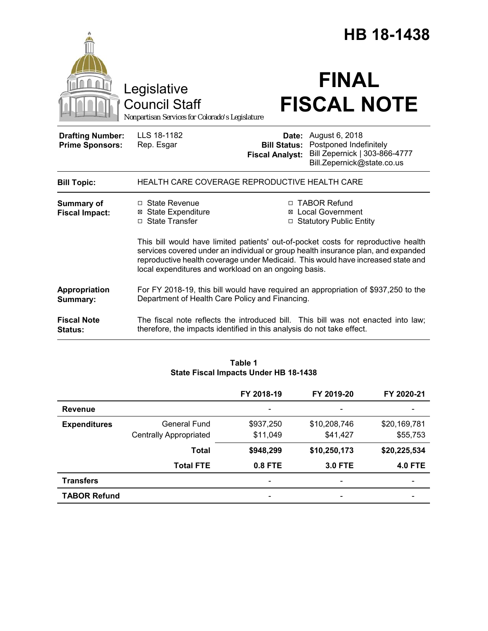|                                                   |                                                                                                                                                                                                                                                                                                                     |                                               | HB 18-1438                                                                                                           |
|---------------------------------------------------|---------------------------------------------------------------------------------------------------------------------------------------------------------------------------------------------------------------------------------------------------------------------------------------------------------------------|-----------------------------------------------|----------------------------------------------------------------------------------------------------------------------|
|                                                   | Legislative<br><b>Council Staff</b><br>Nonpartisan Services for Colorado's Legislature                                                                                                                                                                                                                              |                                               | <b>FINAL</b><br><b>FISCAL NOTE</b>                                                                                   |
| <b>Drafting Number:</b><br><b>Prime Sponsors:</b> | LLS 18-1182<br>Rep. Esgar                                                                                                                                                                                                                                                                                           | <b>Bill Status:</b><br><b>Fiscal Analyst:</b> | <b>Date:</b> August 6, 2018<br>Postponed Indefinitely<br>Bill Zepernick   303-866-4777<br>Bill.Zepernick@state.co.us |
| <b>Bill Topic:</b>                                | HEALTH CARE COVERAGE REPRODUCTIVE HEALTH CARE                                                                                                                                                                                                                                                                       |                                               |                                                                                                                      |
| Summary of<br><b>Fiscal Impact:</b>               | $\Box$ State Revenue<br><b>⊠ State Expenditure</b><br>□ State Transfer                                                                                                                                                                                                                                              |                                               | □ TABOR Refund<br><b>⊠</b> Local Government<br>□ Statutory Public Entity                                             |
|                                                   | This bill would have limited patients' out-of-pocket costs for reproductive health<br>services covered under an individual or group health insurance plan, and expanded<br>reproductive health coverage under Medicaid. This would have increased state and<br>local expenditures and workload on an ongoing basis. |                                               |                                                                                                                      |
| Appropriation<br>Summary:                         | For FY 2018-19, this bill would have required an appropriation of \$937,250 to the<br>Department of Health Care Policy and Financing.                                                                                                                                                                               |                                               |                                                                                                                      |
| <b>Fiscal Note</b><br><b>Status:</b>              | therefore, the impacts identified in this analysis do not take effect.                                                                                                                                                                                                                                              |                                               | The fiscal note reflects the introduced bill. This bill was not enacted into law;                                    |

|                     |                               | FY 2018-19 | FY 2019-20     | FY 2020-21     |
|---------------------|-------------------------------|------------|----------------|----------------|
| <b>Revenue</b>      |                               | -          | -              | -              |
| <b>Expenditures</b> | General Fund                  | \$937,250  | \$10,208,746   | \$20,169,781   |
|                     | <b>Centrally Appropriated</b> | \$11,049   | \$41,427       | \$55,753       |
|                     | <b>Total</b>                  | \$948,299  | \$10,250,173   | \$20,225,534   |
|                     | <b>Total FTE</b>              | 0.8 FTE    | <b>3.0 FTE</b> | <b>4.0 FTE</b> |
| <b>Transfers</b>    |                               |            |                |                |
| <b>TABOR Refund</b> |                               | -          | -              |                |

## **Table 1 State Fiscal Impacts Under HB 18-1438**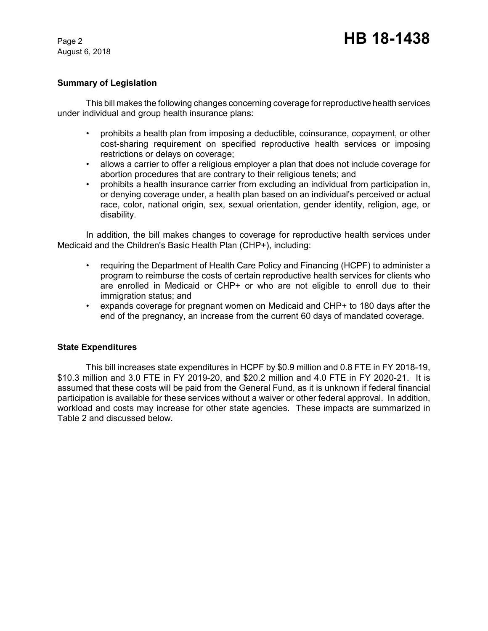August 6, 2018

## **Summary of Legislation**

This bill makes the following changes concerning coverage for reproductive health services under individual and group health insurance plans:

- prohibits a health plan from imposing a deductible, coinsurance, copayment, or other cost-sharing requirement on specified reproductive health services or imposing restrictions or delays on coverage;
- allows a carrier to offer a religious employer a plan that does not include coverage for abortion procedures that are contrary to their religious tenets; and
- prohibits a health insurance carrier from excluding an individual from participation in, or denying coverage under, a health plan based on an individual's perceived or actual race, color, national origin, sex, sexual orientation, gender identity, religion, age, or disability.

In addition, the bill makes changes to coverage for reproductive health services under Medicaid and the Children's Basic Health Plan (CHP+), including:

- requiring the Department of Health Care Policy and Financing (HCPF) to administer a program to reimburse the costs of certain reproductive health services for clients who are enrolled in Medicaid or CHP+ or who are not eligible to enroll due to their immigration status; and
- expands coverage for pregnant women on Medicaid and CHP+ to 180 days after the end of the pregnancy, an increase from the current 60 days of mandated coverage.

### **State Expenditures**

This bill increases state expenditures in HCPF by \$0.9 million and 0.8 FTE in FY 2018-19, \$10.3 million and 3.0 FTE in FY 2019-20, and \$20.2 million and 4.0 FTE in FY 2020-21. It is assumed that these costs will be paid from the General Fund, as it is unknown if federal financial participation is available for these services without a waiver or other federal approval. In addition, workload and costs may increase for other state agencies. These impacts are summarized in Table 2 and discussed below.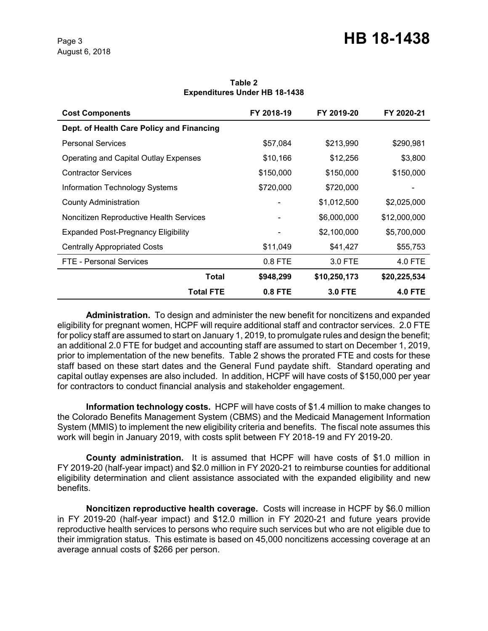| <b>Cost Components</b>                    | FY 2018-19 | FY 2019-20     | FY 2020-21     |
|-------------------------------------------|------------|----------------|----------------|
| Dept. of Health Care Policy and Financing |            |                |                |
| <b>Personal Services</b>                  | \$57,084   | \$213,990      | \$290,981      |
| Operating and Capital Outlay Expenses     | \$10,166   | \$12,256       | \$3,800        |
| <b>Contractor Services</b>                | \$150,000  | \$150,000      | \$150,000      |
| <b>Information Technology Systems</b>     | \$720,000  | \$720,000      |                |
| <b>County Administration</b>              |            | \$1,012,500    | \$2,025,000    |
| Noncitizen Reproductive Health Services   |            | \$6,000,000    | \$12,000,000   |
| Expanded Post-Pregnancy Eligibility       |            | \$2,100,000    | \$5,700,000    |
| <b>Centrally Appropriated Costs</b>       | \$11,049   | \$41,427       | \$55,753       |
| FTE - Personal Services                   | 0.8 FTE    | 3.0 FTE        | 4.0 FTE        |
| Total                                     | \$948,299  | \$10,250,173   | \$20,225,534   |
| <b>Total FTE</b>                          | 0.8 FTE    | <b>3.0 FTE</b> | <b>4.0 FTE</b> |

#### **Table 2 Expenditures Under HB 18-1438**

**Administration.** To design and administer the new benefit for noncitizens and expanded eligibility for pregnant women, HCPF will require additional staff and contractor services. 2.0 FTE for policy staff are assumed to start on January 1, 2019, to promulgate rules and design the benefit; an additional 2.0 FTE for budget and accounting staff are assumed to start on December 1, 2019, prior to implementation of the new benefits. Table 2 shows the prorated FTE and costs for these staff based on these start dates and the General Fund paydate shift. Standard operating and capital outlay expenses are also included. In addition, HCPF will have costs of \$150,000 per year for contractors to conduct financial analysis and stakeholder engagement.

**Information technology costs.** HCPF will have costs of \$1.4 million to make changes to the Colorado Benefits Management System (CBMS) and the Medicaid Management Information System (MMIS) to implement the new eligibility criteria and benefits. The fiscal note assumes this work will begin in January 2019, with costs split between FY 2018-19 and FY 2019-20.

**County administration.** It is assumed that HCPF will have costs of \$1.0 million in FY 2019-20 (half-year impact) and \$2.0 million in FY 2020-21 to reimburse counties for additional eligibility determination and client assistance associated with the expanded eligibility and new benefits.

**Noncitizen reproductive health coverage.** Costs will increase in HCPF by \$6.0 million in FY 2019-20 (half-year impact) and \$12.0 million in FY 2020-21 and future years provide reproductive health services to persons who require such services but who are not eligible due to their immigration status. This estimate is based on 45,000 noncitizens accessing coverage at an average annual costs of \$266 per person.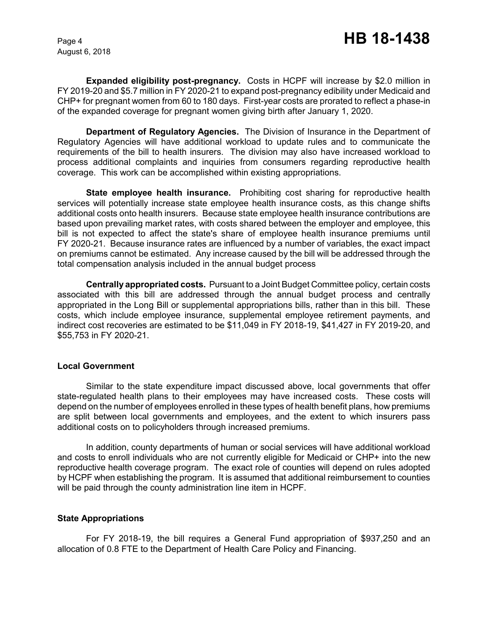August 6, 2018

**Expanded eligibility post-pregnancy.** Costs in HCPF will increase by \$2.0 million in FY 2019-20 and \$5.7 million in FY 2020-21 to expand post-pregnancy edibility under Medicaid and CHP+ for pregnant women from 60 to 180 days. First-year costs are prorated to reflect a phase-in of the expanded coverage for pregnant women giving birth after January 1, 2020.

**Department of Regulatory Agencies.** The Division of Insurance in the Department of Regulatory Agencies will have additional workload to update rules and to communicate the requirements of the bill to health insurers. The division may also have increased workload to process additional complaints and inquiries from consumers regarding reproductive health coverage. This work can be accomplished within existing appropriations.

**State employee health insurance.** Prohibiting cost sharing for reproductive health services will potentially increase state employee health insurance costs, as this change shifts additional costs onto health insurers. Because state employee health insurance contributions are based upon prevailing market rates, with costs shared between the employer and employee, this bill is not expected to affect the state's share of employee health insurance premiums until FY 2020-21. Because insurance rates are influenced by a number of variables, the exact impact on premiums cannot be estimated. Any increase caused by the bill will be addressed through the total compensation analysis included in the annual budget process

**Centrally appropriated costs.** Pursuant to a Joint Budget Committee policy, certain costs associated with this bill are addressed through the annual budget process and centrally appropriated in the Long Bill or supplemental appropriations bills, rather than in this bill. These costs, which include employee insurance, supplemental employee retirement payments, and indirect cost recoveries are estimated to be \$11,049 in FY 2018-19, \$41,427 in FY 2019-20, and \$55,753 in FY 2020-21.

#### **Local Government**

Similar to the state expenditure impact discussed above, local governments that offer state-regulated health plans to their employees may have increased costs. These costs will depend on the number of employees enrolled in these types of health benefit plans, how premiums are split between local governments and employees, and the extent to which insurers pass additional costs on to policyholders through increased premiums.

In addition, county departments of human or social services will have additional workload and costs to enroll individuals who are not currently eligible for Medicaid or CHP+ into the new reproductive health coverage program. The exact role of counties will depend on rules adopted by HCPF when establishing the program. It is assumed that additional reimbursement to counties will be paid through the county administration line item in HCPF.

### **State Appropriations**

For FY 2018-19, the bill requires a General Fund appropriation of \$937,250 and an allocation of 0.8 FTE to the Department of Health Care Policy and Financing.